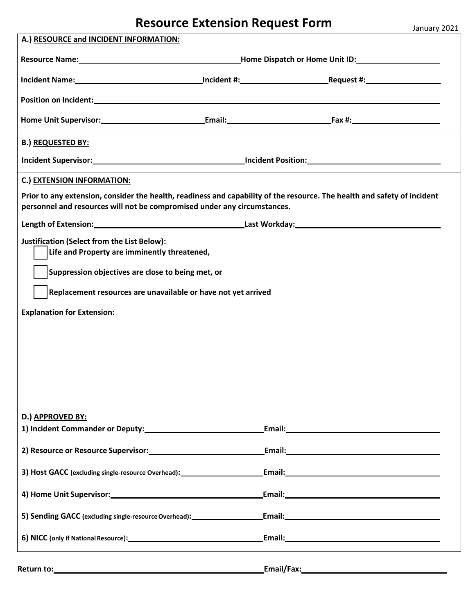## **Resource Extension Request Form**

| January 2021 |  |
|--------------|--|
|              |  |

| A.) RESOURCE and INCIDENT INFORMATION:                                                                                                                                                                                         |  |  |
|--------------------------------------------------------------------------------------------------------------------------------------------------------------------------------------------------------------------------------|--|--|
| Resource Name: Mannell Communication Communication Communication Communication Communication Communication Communication Communication Communication Communication Communication Communication Communication Communication Com |  |  |
|                                                                                                                                                                                                                                |  |  |
| Incident Name: 100 million contract the contract of the contract of the contract of the contract of the contract of the contract of the contract of the contract of the contract of the contract of the contract of the contra |  |  |
|                                                                                                                                                                                                                                |  |  |
|                                                                                                                                                                                                                                |  |  |
|                                                                                                                                                                                                                                |  |  |
| <b>B.) REQUESTED BY:</b>                                                                                                                                                                                                       |  |  |
|                                                                                                                                                                                                                                |  |  |
| C.) EXTENSION INFORMATION:                                                                                                                                                                                                     |  |  |
| Prior to any extension, consider the health, readiness and capability of the resource. The health and safety of incident                                                                                                       |  |  |
| personnel and resources will not be compromised under any circumstances.                                                                                                                                                       |  |  |
|                                                                                                                                                                                                                                |  |  |
| <b>Justification (Select from the List Below):</b>                                                                                                                                                                             |  |  |
| Life and Property are imminently threatened,                                                                                                                                                                                   |  |  |
| Suppression objectives are close to being met, or                                                                                                                                                                              |  |  |
|                                                                                                                                                                                                                                |  |  |
| Replacement resources are unavailable or have not yet arrived                                                                                                                                                                  |  |  |
| <b>Explanation for Extension:</b>                                                                                                                                                                                              |  |  |
|                                                                                                                                                                                                                                |  |  |
|                                                                                                                                                                                                                                |  |  |
|                                                                                                                                                                                                                                |  |  |
|                                                                                                                                                                                                                                |  |  |
|                                                                                                                                                                                                                                |  |  |
|                                                                                                                                                                                                                                |  |  |
| D.) APPROVED BY:                                                                                                                                                                                                               |  |  |
|                                                                                                                                                                                                                                |  |  |
| 2) Resource or Resource Supervisor: Cambridge Communication Communication Communication Communication Communication                                                                                                            |  |  |
|                                                                                                                                                                                                                                |  |  |
| 3) Host GACC (excluding single-resource Overhead): Fig. 2. [Email: Email: Separation of the set of the set of the set of the set of the set of the set of the set of the set of the set of the set of the set of the set of th |  |  |
|                                                                                                                                                                                                                                |  |  |
|                                                                                                                                                                                                                                |  |  |
|                                                                                                                                                                                                                                |  |  |
|                                                                                                                                                                                                                                |  |  |
|                                                                                                                                                                                                                                |  |  |